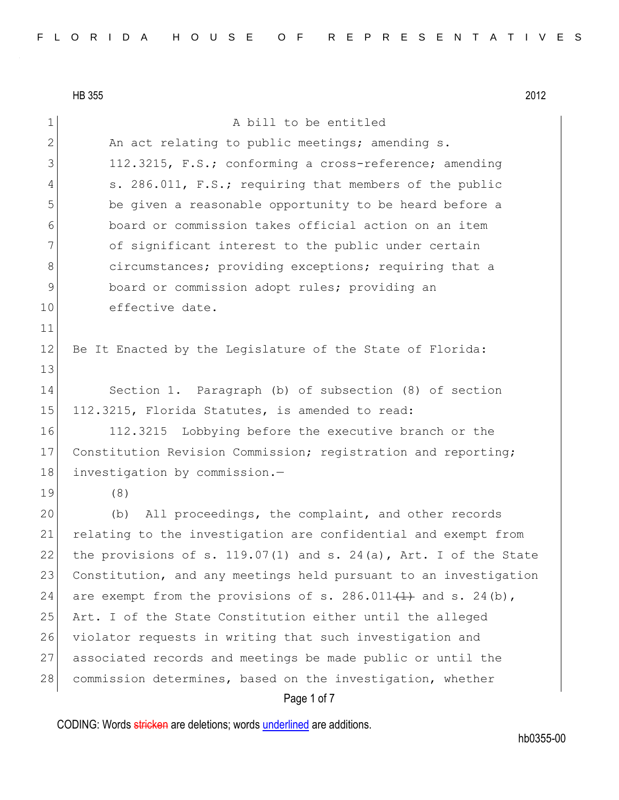HB 355 2012 Page 1 of 7 1 A bill to be entitled 2 An act relating to public meetings; amending s. 3 112.3215, F.S.; conforming a cross-reference; amending 4 s. 286.011, F.S.; requiring that members of the public 5 be given a reasonable opportunity to be heard before a 6 board or commission takes official action on an item 7 of significant interest to the public under certain 8 8 8 8 circumstances; providing exceptions; requiring that a 9 board or commission adopt rules; providing an 10 effective date. 11 12 Be It Enacted by the Legislature of the State of Florida: 13 14 Section 1. Paragraph (b) of subsection (8) of section 15 112.3215, Florida Statutes, is amended to read: 16 112.3215 Lobbying before the executive branch or the 17 Constitution Revision Commission; registration and reporting; 18 investigation by commission.-19 (8) 20 (b) All proceedings, the complaint, and other records 21 relating to the investigation are confidential and exempt from 22 the provisions of s. 119.07(1) and s. 24(a), Art. I of the State 23 Constitution, and any meetings held pursuant to an investigation 24 are exempt from the provisions of s. 286.011 $(1)$  and s. 24 $(b)$ , 25 Art. I of the State Constitution either until the alleged 26 violator requests in writing that such investigation and 27 associated records and meetings be made public or until the 28 commission determines, based on the investigation, whether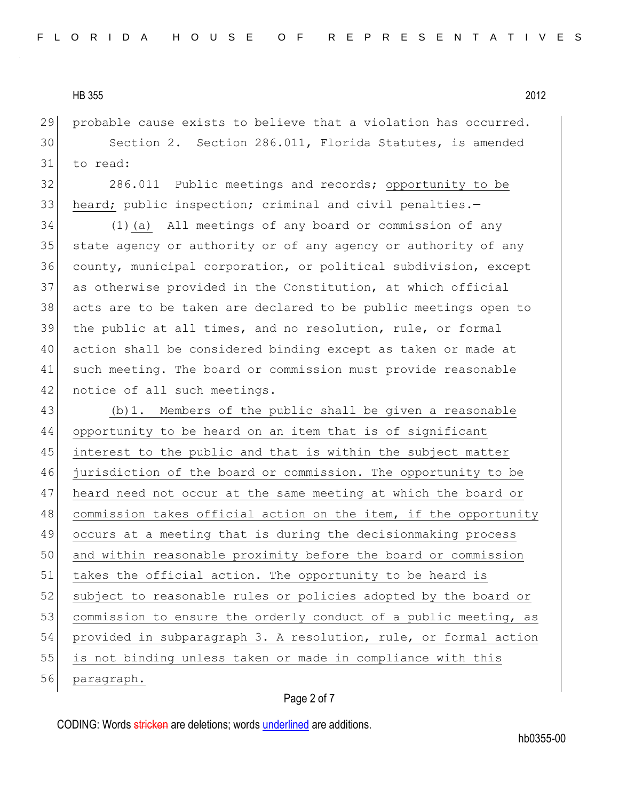probable cause exists to believe that a violation has occurred.

 Section 2. Section 286.011, Florida Statutes, is amended to read:

32 286.011 Public meetings and records; opportunity to be 33 heard; public inspection; criminal and civil penalties.-

 (1)(a) All meetings of any board or commission of any 35 state agency or authority or of any agency or authority of any county, municipal corporation, or political subdivision, except as otherwise provided in the Constitution, at which official acts are to be taken are declared to be public meetings open to the public at all times, and no resolution, rule, or formal action shall be considered binding except as taken or made at such meeting. The board or commission must provide reasonable 42 notice of all such meetings.

 (b)1. Members of the public shall be given a reasonable opportunity to be heard on an item that is of significant interest to the public and that is within the subject matter jurisdiction of the board or commission. The opportunity to be heard need not occur at the same meeting at which the board or 48 commission takes official action on the item, if the opportunity occurs at a meeting that is during the decisionmaking process and within reasonable proximity before the board or commission 51 takes the official action. The opportunity to be heard is 52 subject to reasonable rules or policies adopted by the board or 53 commission to ensure the orderly conduct of a public meeting, as provided in subparagraph 3. A resolution, rule, or formal action is not binding unless taken or made in compliance with this paragraph.

## Page 2 of 7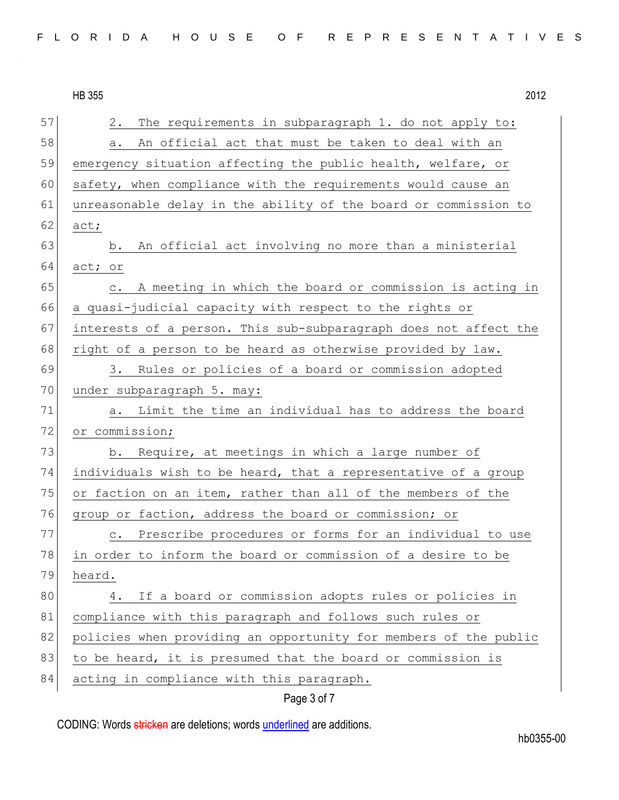|    | <b>HB 355</b><br>2012                                                     |
|----|---------------------------------------------------------------------------|
| 57 | The requirements in subparagraph 1. do not apply to:<br>2.                |
| 58 | An official act that must be taken to deal with an<br>a.                  |
| 59 | emergency situation affecting the public health, welfare, or              |
| 60 | safety, when compliance with the requirements would cause an              |
| 61 | unreasonable delay in the ability of the board or commission to           |
| 62 | act;                                                                      |
| 63 | An official act involving no more than a ministerial<br>b.                |
| 64 | act; or                                                                   |
| 65 | A meeting in which the board or commission is acting in<br>$\mathsf{C}$ . |
| 66 | a quasi-judicial capacity with respect to the rights or                   |
| 67 | interests of a person. This sub-subparagraph does not affect the          |
| 68 | right of a person to be heard as otherwise provided by law.               |
| 69 | Rules or policies of a board or commission adopted<br>3.                  |
| 70 | under subparagraph 5. may:                                                |
| 71 | a. Limit the time an individual has to address the board                  |
| 72 | or commission;                                                            |
| 73 | b. Require, at meetings in which a large number of                        |
| 74 | individuals wish to be heard, that a representative of a group            |
| 75 | or faction on an item, rather than all of the members of the              |
| 76 | group or faction, address the board or commission; or                     |
| 77 | Prescribe procedures or forms for an individual to use<br>$\circ$ .       |
| 78 | in order to inform the board or commission of a desire to be              |
| 79 | heard.                                                                    |
| 80 | If a board or commission adopts rules or policies in<br>4.                |
| 81 | compliance with this paragraph and follows such rules or                  |
| 82 | policies when providing an opportunity for members of the public          |
| 83 | to be heard, it is presumed that the board or commission is               |
| 84 | acting in compliance with this paragraph.                                 |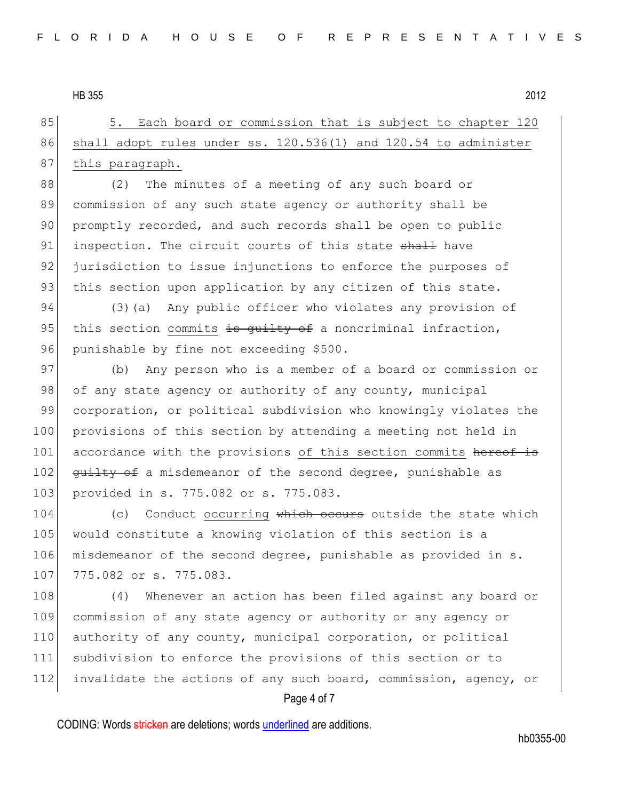85 5. Each board or commission that is subject to chapter 120 86 shall adopt rules under ss. 120.536(1) and 120.54 to administer 87 this paragraph.

88 (2) The minutes of a meeting of any such board or 89 commission of any such state agency or authority shall be 90 promptly recorded, and such records shall be open to public 91 inspection. The circuit courts of this state shall have 92 jurisdiction to issue injunctions to enforce the purposes of 93 this section upon application by any citizen of this state.

94 (3)(a) Any public officer who violates any provision of 95 this section commits  $\frac{1}{10}$  section is guilty of a noncriminal infraction, 96 punishable by fine not exceeding \$500.

97 (b) Any person who is a member of a board or commission or 98 of any state agency or authority of any county, municipal 99 corporation, or political subdivision who knowingly violates the 100 provisions of this section by attending a meeting not held in 101 accordance with the provisions of this section commits hereof is 102 guilty of a misdemeanor of the second degree, punishable as 103 provided in s. 775.082 or s. 775.083.

104 (c) Conduct occurring which occurs outside the state which 105 would constitute a knowing violation of this section is a 106 misdemeanor of the second degree, punishable as provided in s. 107 775.082 or s. 775.083.

108 (4) Whenever an action has been filed against any board or 109 commission of any state agency or authority or any agency or 110 authority of any county, municipal corporation, or political 111 subdivision to enforce the provisions of this section or to 112 invalidate the actions of any such board, commission, agency, or

## Page 4 of 7

CODING: Words stricken are deletions; words underlined are additions.

hb0355-00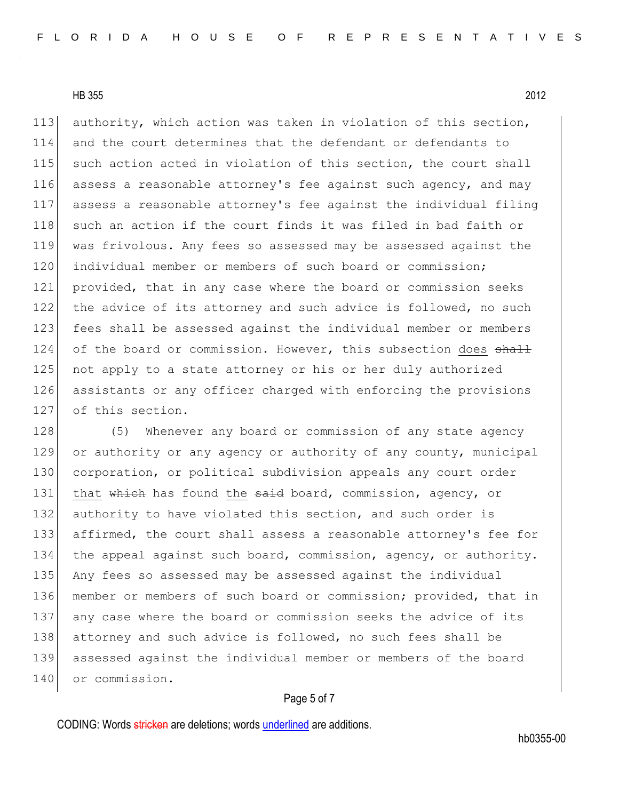113 authority, which action was taken in violation of this section, 114 and the court determines that the defendant or defendants to 115 such action acted in violation of this section, the court shall 116 assess a reasonable attorney's fee against such agency, and may 117 assess a reasonable attorney's fee against the individual filing 118 such an action if the court finds it was filed in bad faith or 119 was frivolous. Any fees so assessed may be assessed against the 120 individual member or members of such board or commission; 121 provided, that in any case where the board or commission seeks 122 the advice of its attorney and such advice is followed, no such 123 fees shall be assessed against the individual member or members  $124$  of the board or commission. However, this subsection does  $\frac{11}{2}$ 125 not apply to a state attorney or his or her duly authorized 126 assistants or any officer charged with enforcing the provisions 127 of this section.

128 (5) Whenever any board or commission of any state agency 129 or authority or any agency or authority of any county, municipal 130 corporation, or political subdivision appeals any court order 131 that which has found the said board, commission, agency, or 132 authority to have violated this section, and such order is 133 affirmed, the court shall assess a reasonable attorney's fee for 134 the appeal against such board, commission, agency, or authority. 135 Any fees so assessed may be assessed against the individual 136 member or members of such board or commission; provided, that in 137 any case where the board or commission seeks the advice of its 138 attorney and such advice is followed, no such fees shall be 139 assessed against the individual member or members of the board 140 or commission.

## Page 5 of 7

CODING: Words stricken are deletions; words underlined are additions.

hb0355-00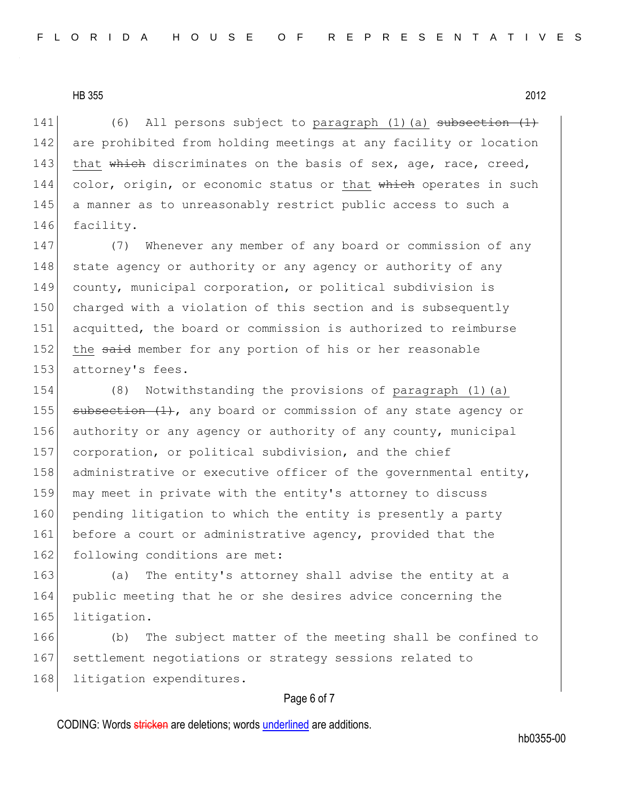141  $(6)$  All persons subject to paragraph (1)(a) subsection  $(1)$ 142 are prohibited from holding meetings at any facility or location 143 that which discriminates on the basis of sex, age, race, creed, 144 color, origin, or economic status or that which operates in such 145 a manner as to unreasonably restrict public access to such a 146 facility.

147 (7) Whenever any member of any board or commission of any 148 state agency or authority or any agency or authority of any 149 county, municipal corporation, or political subdivision is 150 charged with a violation of this section and is subsequently 151 acquitted, the board or commission is authorized to reimburse 152 the said member for any portion of his or her reasonable 153 attorney's fees.

154 (8) Notwithstanding the provisions of paragraph (1)(a) 155 subsection  $(1)$ , any board or commission of any state agency or 156 authority or any agency or authority of any county, municipal 157 corporation, or political subdivision, and the chief 158 administrative or executive officer of the governmental entity, 159 may meet in private with the entity's attorney to discuss 160 pending litigation to which the entity is presently a party 161 before a court or administrative agency, provided that the 162 following conditions are met:

163 (a) The entity's attorney shall advise the entity at a 164 public meeting that he or she desires advice concerning the 165 litigation.

166 (b) The subject matter of the meeting shall be confined to 167 settlement negotiations or strategy sessions related to 168 litigation expenditures.

### Page 6 of 7

CODING: Words stricken are deletions; words underlined are additions.

hb0355-00